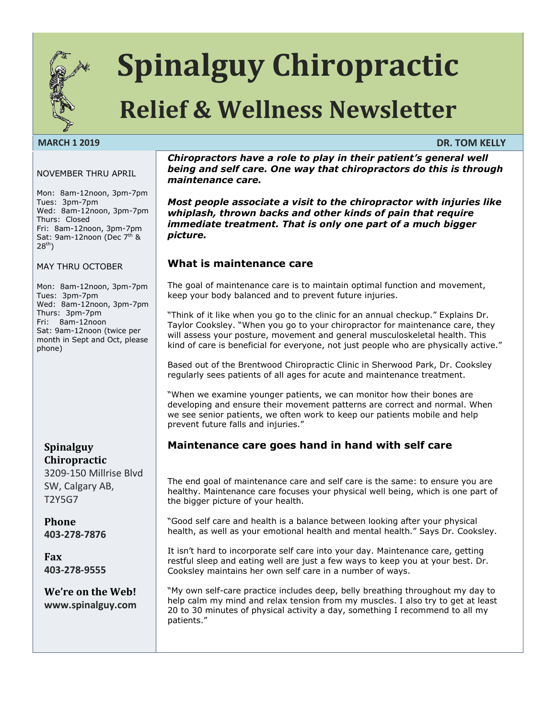

# **Spinalguy Chiropractic**

## **Relief & Wellness Newsletter**

#### **MARCH 1 2019 DR. TOM KELLY**

#### NOVEMBER THRU APRIL

Mon: 8am-12noon, 3pm-7pm Tues: 3pm-7pm Wed: 8am-12noon, 3pm-7pm Thurs: Closed Fri: 8am-12noon, 3pm-7pm Sat: 9am-12noon (Dec 7<sup>th</sup> &  $28^{th}$ )

MAY THRU OCTOBER

Mon: 8am-12noon, 3pm-7pm Tues: 3pm-7pm Wed: 8am-12noon, 3pm-7pm Thurs: 3pm-7pm Fri: 8am-12noon Sat: 9am-12noon (twice per month in Sept and Oct, please phone)

#### **Spinalguy Chiropractic**

3209-150 Millrise Blvd SW, Calgary AB, T2Y5G7

**Phone 403-278-7876**

**Fax 403-278-9555**

**We're on the Web! www.spinalguy.com**

*Chiropractors have a role to play in their patient's general well being and self care. One way that chiropractors do this is through maintenance care.*

*Most people associate a visit to the chiropractor with injuries like whiplash, thrown backs and other kinds of pain that require immediate treatment. That is only one part of a much bigger picture.*

#### **What is maintenance care**

The goal of maintenance care is to maintain optimal function and movement, keep your body balanced and to prevent future injuries.

"Think of it like when you go to the clinic for an annual checkup." Explains Dr. Taylor Cooksley. "When you go to your chiropractor for maintenance care, they will assess your posture, movement and general musculoskeletal health. This kind of care is beneficial for everyone, not just people who are physically active."

Based out of the Brentwood Chiropractic Clinic in Sherwood Park, Dr. Cooksley regularly sees patients of all ages for acute and maintenance treatment.

"When we examine younger patients, we can monitor how their bones are developing and ensure their movement patterns are correct and normal. When we see senior patients, we often work to keep our patients mobile and help prevent future falls and injuries."

#### **Maintenance care goes hand in hand with self care**

The end goal of maintenance care and self care is the same: to ensure you are healthy. Maintenance care focuses your physical well being, which is one part of the bigger picture of your health.

"Good self care and health is a balance between looking after your physical health, as well as your emotional health and mental health." Says Dr. Cooksley.

It isn't hard to incorporate self care into your day. Maintenance care, getting restful sleep and eating well are just a few ways to keep you at your best. Dr. Cooksley maintains her own self care in a number of ways.

"My own self-care practice includes deep, belly breathing throughout my day to help calm my mind and relax tension from my muscles. I also try to get at least 20 to 30 minutes of physical activity a day, something I recommend to all my patients."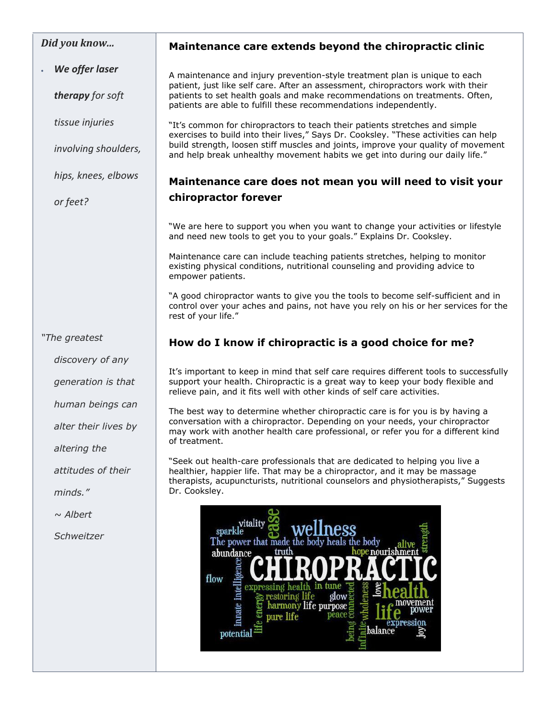#### *Did you know...*

*We offer laser* 

*therapy for soft* 

*tissue injuries*

*involving shoulders,* 

*hips, knees, elbows* 

*or feet?*

#### **Maintenance care extends beyond the chiropractic clinic**

A maintenance and injury prevention-style treatment plan is unique to each patient, just like self care. After an assessment, chiropractors work with their patients to set health goals and make recommendations on treatments. Often, patients are able to fulfill these recommendations independently.

"It's common for chiropractors to teach their patients stretches and simple exercises to build into their lives," Says Dr. Cooksley. "These activities can help build strength, loosen stiff muscles and joints, improve your quality of movement and help break unhealthy movement habits we get into during our daily life."

#### **Maintenance care does not mean you will need to visit your chiropractor forever**

"We are here to support you when you want to change your activities or lifestyle and need new tools to get you to your goals." Explains Dr. Cooksley.

Maintenance care can include teaching patients stretches, helping to monitor existing physical conditions, nutritional counseling and providing advice to empower patients.

"A good chiropractor wants to give you the tools to become self-sufficient and in control over your aches and pains, not have you rely on his or her services for the rest of your life."

#### *"The greatest*

*discovery of any* 

*generation is that* 

*human beings can* 

*alter their lives by* 

*altering the* 

*attitudes of their* 

*minds."*

*~ Albert* 

*Schweitzer* 

#### **How do I know if chiropractic is a good choice for me?**

It's important to keep in mind that self care requires different tools to successfully support your health. Chiropractic is a great way to keep your body flexible and relieve pain, and it fits well with other kinds of self care activities.

The best way to determine whether chiropractic care is for you is by having a conversation with a chiropractor. Depending on your needs, your chiropractor may work with another health care professional, or refer you for a different kind of treatment.

"Seek out health-care professionals that are dedicated to helping you live a healthier, happier life. That may be a chiropractor, and it may be massage therapists, acupuncturists, nutritional counselors and physiotherapists," Suggests Dr. Cooksley.